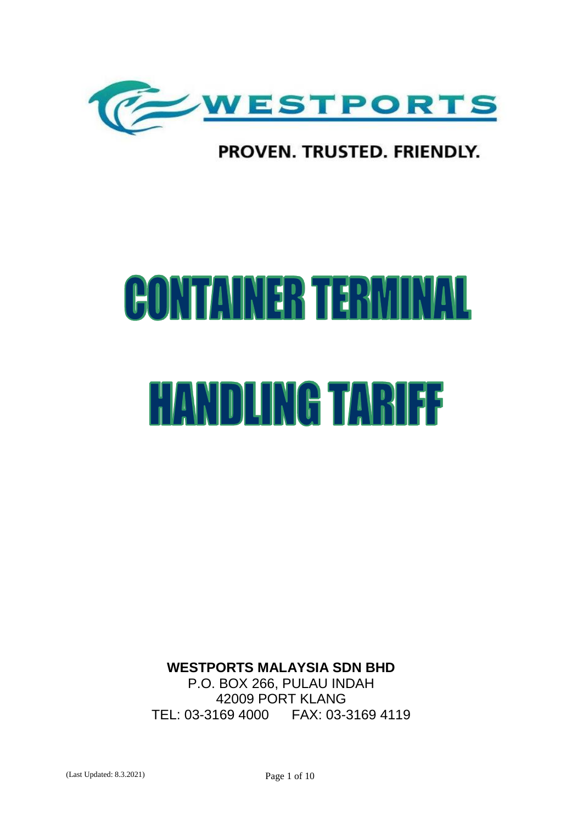

# PROVEN. TRUSTED. FRIENDLY.

# **CONTAINER TERMINA** Ш **HANDLING TARIFF**

**WESTPORTS MALAYSIA SDN BHD** P.O. BOX 266, PULAU INDAH 42009 PORT KLANG

TEL: 03-3169 4000 FAX: 03-3169 4119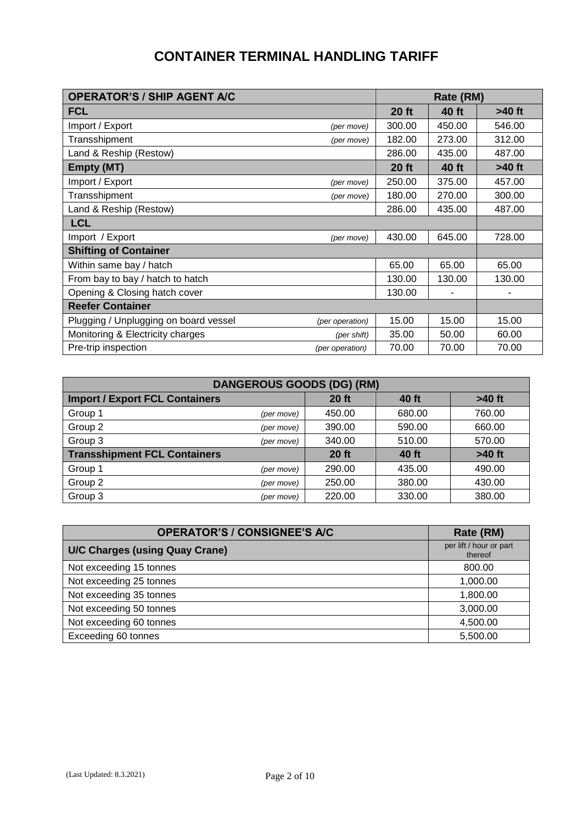### **CONTAINER TERMINAL HANDLING TARIFF**

| <b>OPERATOR'S / SHIP AGENT A/C</b>    |                 | Rate (RM)    |              |          |  |
|---------------------------------------|-----------------|--------------|--------------|----------|--|
| <b>FCL</b>                            |                 | $20$ ft      | <b>40 ft</b> | $>40$ ft |  |
| Import / Export                       | (per move)      | 300.00       | 450.00       | 546.00   |  |
| Transshipment                         | (per move)      | 182.00       | 273.00       | 312.00   |  |
| Land & Reship (Restow)                |                 | 286.00       | 435.00       | 487.00   |  |
| <b>Empty (MT)</b>                     |                 | <b>20 ft</b> | <b>40 ft</b> | $>40$ ft |  |
| Import / Export                       | (per move)      | 250.00       | 375.00       | 457.00   |  |
| Transshipment                         | (per move)      | 180.00       | 270.00       | 300.00   |  |
| Land & Reship (Restow)                |                 | 286.00       | 435.00       | 487.00   |  |
| <b>LCL</b>                            |                 |              |              |          |  |
| Import / Export                       | (per move)      | 430.00       | 645.00       | 728.00   |  |
| <b>Shifting of Container</b>          |                 |              |              |          |  |
| Within same bay / hatch               |                 | 65.00        | 65.00        | 65.00    |  |
| From bay to bay / hatch to hatch      |                 | 130.00       | 130.00       | 130.00   |  |
| Opening & Closing hatch cover         |                 | 130.00       |              |          |  |
| <b>Reefer Container</b>               |                 |              |              |          |  |
| Plugging / Unplugging on board vessel | (per operation) | 15.00        | 15.00        | 15.00    |  |
| Monitoring & Electricity charges      | (per shift)     | 35.00        | 50.00        | 60.00    |  |
| Pre-trip inspection                   | (per operation) | 70.00        | 70.00        | 70.00    |  |

| <b>DANGEROUS GOODS (DG) (RM)</b>      |            |              |        |          |  |  |  |  |
|---------------------------------------|------------|--------------|--------|----------|--|--|--|--|
| <b>Import / Export FCL Containers</b> |            | <b>20 ft</b> | 40 ft  | $>40$ ft |  |  |  |  |
| Group 1                               | (per move) | 450.00       | 680.00 | 760.00   |  |  |  |  |
| Group 2                               | (per move) | 390.00       | 590.00 | 660.00   |  |  |  |  |
| Group 3                               | (per move) | 340.00       | 510.00 | 570.00   |  |  |  |  |
| <b>Transshipment FCL Containers</b>   |            | <b>20 ft</b> | 40 ft  | $>40$ ft |  |  |  |  |
| Group 1                               | (per move) | 290.00       | 435.00 | 490.00   |  |  |  |  |
| Group 2                               | (per move) | 250.00       | 380.00 | 430.00   |  |  |  |  |
| Group 3                               | (per move) | 220.00       | 330.00 | 380.00   |  |  |  |  |

| <b>OPERATOR'S / CONSIGNEE'S A/C</b>   | Rate (RM)                          |
|---------------------------------------|------------------------------------|
| <b>U/C Charges (using Quay Crane)</b> | per lift / hour or part<br>thereof |
| Not exceeding 15 tonnes               | 800.00                             |
| Not exceeding 25 tonnes               | 1,000.00                           |
| Not exceeding 35 tonnes               | 1,800.00                           |
| Not exceeding 50 tonnes               | 3,000.00                           |
| Not exceeding 60 tonnes               | 4,500.00                           |
| Exceeding 60 tonnes                   | 5,500.00                           |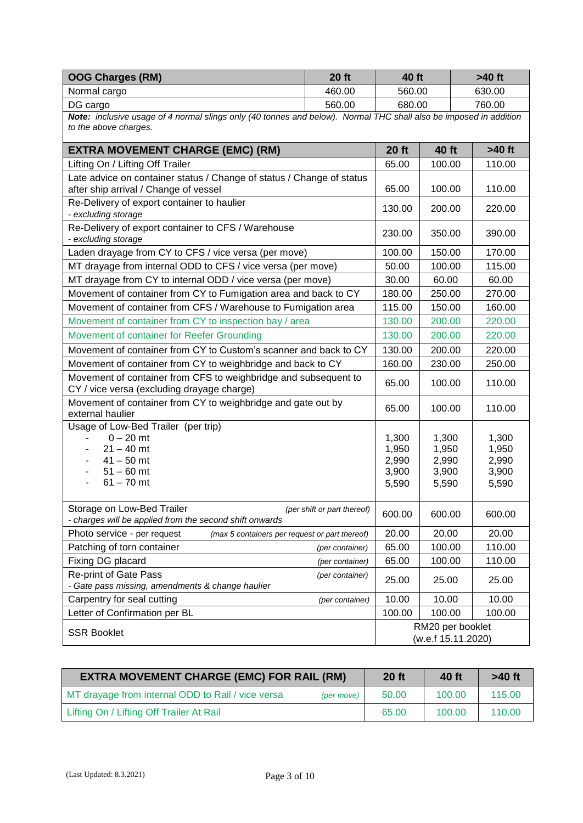| <b>OOG Charges (RM)</b>                                                                                                                    | <b>20 ft</b>                | 40 ft                                     |                                           | $>40$ ft                                  |  |
|--------------------------------------------------------------------------------------------------------------------------------------------|-----------------------------|-------------------------------------------|-------------------------------------------|-------------------------------------------|--|
| Normal cargo                                                                                                                               | 460.00                      | 560.00                                    |                                           | 630.00                                    |  |
| DG cargo                                                                                                                                   | 560.00                      | 680.00                                    | 760.00                                    |                                           |  |
| Note: inclusive usage of 4 normal slings only (40 tonnes and below). Normal THC shall also be imposed in addition<br>to the above charges. |                             |                                           |                                           |                                           |  |
| <b>EXTRA MOVEMENT CHARGE (EMC) (RM)</b>                                                                                                    |                             | <b>20 ft</b>                              | <b>40 ft</b>                              | $>40$ ft                                  |  |
| Lifting On / Lifting Off Trailer                                                                                                           |                             | 65.00                                     | 100.00                                    | 110.00                                    |  |
| Late advice on container status / Change of status / Change of status<br>after ship arrival / Change of vessel                             |                             | 65.00                                     | 100.00                                    | 110.00                                    |  |
| Re-Delivery of export container to haulier<br>- excluding storage                                                                          |                             | 130.00                                    | 200.00                                    | 220.00                                    |  |
| Re-Delivery of export container to CFS / Warehouse<br>- excluding storage                                                                  |                             | 230.00                                    | 350.00                                    | 390.00                                    |  |
| Laden drayage from CY to CFS / vice versa (per move)                                                                                       |                             | 100.00                                    | 150.00                                    | 170.00                                    |  |
| MT drayage from internal ODD to CFS / vice versa (per move)                                                                                |                             | 50.00                                     | 100.00                                    | 115.00                                    |  |
| MT drayage from CY to internal ODD / vice versa (per move)                                                                                 |                             | 30.00                                     | 60.00                                     | 60.00                                     |  |
| Movement of container from CY to Fumigation area and back to CY                                                                            |                             | 180.00                                    | 250.00                                    | 270.00                                    |  |
| Movement of container from CFS / Warehouse to Fumigation area                                                                              |                             | 115.00                                    | 150.00                                    | 160.00                                    |  |
| Movement of container from CY to inspection bay / area                                                                                     |                             | 130.00                                    | 200.00                                    | 220.00                                    |  |
| Movement of container for Reefer Grounding                                                                                                 |                             | 130.00                                    | 200.00                                    | 220.00                                    |  |
| Movement of container from CY to Custom's scanner and back to CY                                                                           |                             | 130.00                                    | 200.00                                    | 220.00                                    |  |
| Movement of container from CY to weighbridge and back to CY                                                                                |                             | 160.00                                    | 230.00                                    | 250.00                                    |  |
| Movement of container from CFS to weighbridge and subsequent to<br>CY / vice versa (excluding drayage charge)                              |                             | 65.00                                     | 100.00                                    | 110.00                                    |  |
| Movement of container from CY to weighbridge and gate out by<br>external haulier                                                           |                             | 65.00                                     | 100.00                                    | 110.00                                    |  |
| Usage of Low-Bed Trailer (per trip)<br>$0 - 20$ mt<br>$21 - 40$ mt<br>$41 - 50$ mt<br>$51 - 60$ mt<br>$61 - 70$ mt                         |                             | 1,300<br>1,950<br>2,990<br>3,900<br>5,590 | 1,300<br>1,950<br>2,990<br>3,900<br>5,590 | 1,300<br>1,950<br>2,990<br>3,900<br>5,590 |  |
| Storage on Low-Bed Trailer<br>- charges will be applied from the second shift onwards                                                      | (per shift or part thereof) | 600.00                                    | 600.00                                    | 600.00                                    |  |
| Photo service - per request<br>(max 5 containers per request or part thereof)                                                              |                             | 20.00                                     | 20.00                                     | 20.00                                     |  |
| Patching of torn container                                                                                                                 | (per container)             | 65.00                                     | 100.00                                    | 110.00                                    |  |
| Fixing DG placard                                                                                                                          | (per container)             | 65.00                                     | 100.00                                    | 110.00                                    |  |
| <b>Re-print of Gate Pass</b><br>- Gate pass missing, amendments & change haulier                                                           | (per container)             | 25.00                                     | 25.00                                     | 25.00                                     |  |
| Carpentry for seal cutting                                                                                                                 | (per container)             | 10.00                                     | 10.00                                     | 10.00                                     |  |
| Letter of Confirmation per BL                                                                                                              |                             | 100.00                                    | 100.00                                    | 100.00                                    |  |
| <b>SSR Booklet</b>                                                                                                                         |                             |                                           | RM20 per booklet<br>(w.e.f 15.11.2020)    |                                           |  |

| <b>EXTRA MOVEMENT CHARGE (EMC) FOR RAIL (RM)</b>                | $20$ ft | 40 ft  | $>40$ ft |
|-----------------------------------------------------------------|---------|--------|----------|
| MT drayage from internal ODD to Rail / vice versa<br>(per move) | 50.00   | 100.00 | 115.00   |
| Lifting On / Lifting Off Trailer At Rail                        | 65.00   | 100.00 | 110.00   |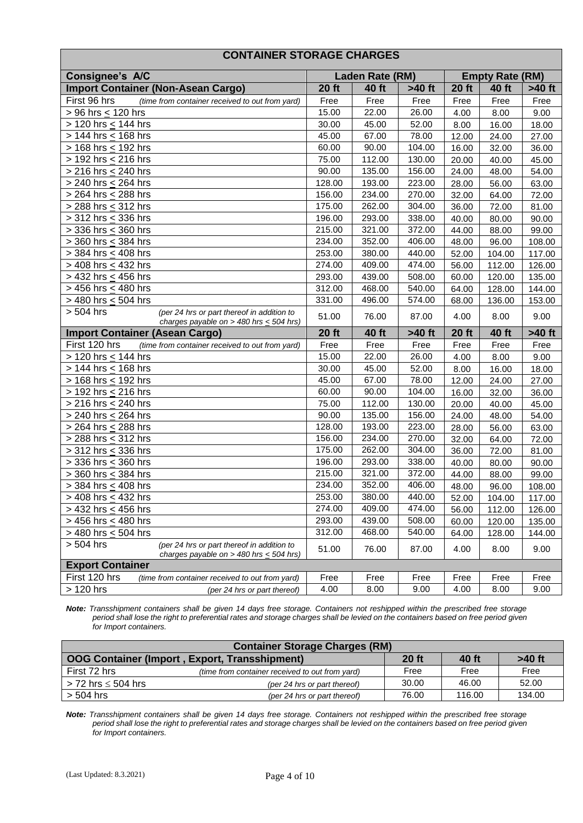#### **CONTAINER STORAGE CHARGES**

| Consignee's A/C                                                                                         | Laden Rate (RM) |              | <b>Empty Rate (RM)</b> |              |              |          |
|---------------------------------------------------------------------------------------------------------|-----------------|--------------|------------------------|--------------|--------------|----------|
| <b>Import Container (Non-Asean Cargo)</b>                                                               | <b>20 ft</b>    | 40 ft        | >40 ft                 | <b>20 ft</b> | 40 ft        | $>40$ ft |
| First 96 hrs<br>(time from container received to out from yard)                                         | Free            | Free         | Free                   | Free         | Free         | Free     |
| > 96 hrs < 120 hrs                                                                                      | 15.00           | 22.00        | 26.00                  | 4.00         | 8.00         | 9.00     |
| > 120 hrs < 144 hrs                                                                                     | 30.00           | 45.00        | 52.00                  | 8.00         | 16.00        | 18.00    |
| > 144 hrs < 168 hrs                                                                                     | 45.00           | 67.00        | 78.00                  | 12.00        | 24.00        | 27.00    |
| > 168 hrs < 192 hrs                                                                                     | 60.00           | 90.00        | 104.00                 | 16.00        | 32.00        | 36.00    |
| $> 192$ hrs < 216 hrs                                                                                   | 75.00           | 112.00       | 130.00                 | 20.00        | 40.00        | 45.00    |
| $>$ 216 hrs < 240 hrs                                                                                   | 90.00           | 135.00       | 156.00                 | 24.00        | 48.00        | 54.00    |
| > 240 hrs < 264 hrs                                                                                     | 128.00          | 193.00       | 223.00                 | 28.00        | 56.00        | 63.00    |
| > 264 hrs < 288 hrs                                                                                     | 156.00          | 234.00       | 270.00                 | 32.00        | 64.00        | 72.00    |
| > 288 hrs < 312 hrs                                                                                     | 175.00          | 262.00       | 304.00                 | 36.00        | 72.00        | 81.00    |
| > 312 hrs < 336 hrs                                                                                     | 196.00          | 293.00       | 338.00                 | 40.00        | 80.00        | 90.00    |
| > 336 hrs < 360 hrs                                                                                     | 215.00          | 321.00       | 372.00                 | 44.00        | 88.00        | 99.00    |
| > 360 hrs < 384 hrs                                                                                     | 234.00          | 352.00       | 406.00                 | 48.00        | 96.00        | 108.00   |
| > 384 hrs < 408 hrs                                                                                     | 253.00          | 380.00       | 440.00                 | 52.00        | 104.00       | 117.00   |
| > 408 hrs < 432 hrs                                                                                     | 274.00          | 409.00       | 474.00                 | 56.00        | 112.00       | 126.00   |
| $\sqrt{2}$ > 432 hrs $\leq$ 456 hrs                                                                     | 293.00          | 439.00       | 508.00                 | 60.00        | 120.00       | 135.00   |
| > 456 hrs < 480 hrs                                                                                     | 312.00          | 468.00       | 540.00                 | 64.00        | 128.00       | 144.00   |
| $>$ 480 hrs < 504 hrs                                                                                   | 331.00          | 496.00       | 574.00                 | 68.00        | 136.00       | 153.00   |
| > 504 hrs<br>(per 24 hrs or part thereof in addition to<br>charges payable on > 480 hrs $\leq$ 504 hrs) | 51.00           | 76.00        | 87.00                  | 4.00         | 8.00         | 9.00     |
| <b>Import Container (Asean Cargo)</b>                                                                   | <b>20 ft</b>    | <b>40 ft</b> | $>40$ ft               | <b>20 ft</b> | <b>40 ft</b> | $>40$ ft |
| First 120 hrs<br>(time from container received to out from yard)                                        | Free            | Free         | Free                   | Free         | Free         | Free     |
| > 120 hrs < 144 hrs                                                                                     | 15.00           | 22.00        | 26.00                  | 4.00         | 8.00         | 9.00     |
| > 144 hrs < 168 hrs                                                                                     | 30.00           | 45.00        | 52.00                  | 8.00         | 16.00        | 18.00    |
| > 168 hrs < 192 hrs                                                                                     | 45.00           | 67.00        | 78.00                  | 12.00        | 24.00        | 27.00    |
| > 192 hrs < 216 hrs                                                                                     | 60.00           | 90.00        | 104.00                 | 16.00        | 32.00        | 36.00    |
| > 216 hrs < 240 hrs                                                                                     | 75.00           | 112.00       | 130.00                 | 20.00        | 40.00        | 45.00    |
| > 240 hrs < 264 hrs                                                                                     | 90.00           | 135.00       | 156.00                 | 24.00        | 48.00        | 54.00    |
| > 264 hrs < 288 hrs                                                                                     | 128.00          | 193.00       | 223.00                 | 28.00        | 56.00        | 63.00    |
| > 288 hrs < 312 hrs                                                                                     | 156.00          | 234.00       | 270.00                 | 32.00        | 64.00        | 72.00    |
| > 312 hrs < 336 hrs                                                                                     | 175.00          | 262.00       | 304.00                 | 36.00        | 72.00        | 81.00    |
| > 336 hrs < 360 hrs                                                                                     | 196.00          | 293.00       | 338.00                 | 40.00        | 80.00        | 90.00    |
| > 360 hrs < 384 hrs                                                                                     | 215.00          | 321.00       | 372.00                 | 44.00        | 88.00        | 99.00    |
| > 384 hrs < 408 hrs                                                                                     | 234.00          | 352.00       | 406.00                 | 48.00        | 96.00        | 108.00   |
| > 408 hrs < 432 hrs                                                                                     | 253.00          | 380.00       | 440.00                 | 52.00        | 104.00       | 117.00   |
| > 432 hrs $\leq$ 456 hrs                                                                                | 274.00          | 409.00       | 474.00                 | 56.00        | 112.00       | 126.00   |
| > 456 hrs < 480 hrs                                                                                     | 293.00          | 439.00       | 508.00                 | 60.00        | 120.00       | 135.00   |
| > 480 hrs < 504 hrs                                                                                     | 312.00          | 468.00       | 540.00                 | 64.00        | 128.00       | 144.00   |
| > 504 hrs<br>(per 24 hrs or part thereof in addition to<br>charges payable on > 480 hrs $\leq$ 504 hrs) | 51.00           | 76.00        | 87.00                  | 4.00         | 8.00         | 9.00     |
| <b>Export Container</b>                                                                                 |                 |              |                        |              |              |          |
| First 120 hrs<br>(time from container received to out from yard)                                        | Free            | Free         | Free                   | Free         | Free         | Free     |
| > 120 hrs<br>(per 24 hrs or part thereof)                                                               | 4.00            | 8.00         | 9.00                   | 4.00         | 8.00         | 9.00     |

*Note: Transshipment containers shall be given 14 days free storage. Containers not reshipped within the prescribed free storage period shall lose the right to preferential rates and storage charges shall be levied on the containers based on free period given for Import containers.*

| <b>Container Storage Charges (RM)</b> |                                                 |              |        |          |  |  |  |
|---------------------------------------|-------------------------------------------------|--------------|--------|----------|--|--|--|
|                                       | OOG Container (Import, Export, Transshipment)   | <b>20 ft</b> | 40 ft  | $>40$ ft |  |  |  |
| First 72 hrs                          | (time from container received to out from yard) | Free         | Free   | Free     |  |  |  |
| $>$ 72 hrs $\leq$ 504 hrs             | (per 24 hrs or part thereof)                    | 30.00        | 46.00  | 52.00    |  |  |  |
| $>$ 504 hrs                           | (per 24 hrs or part thereof)                    | 76.00        | 116.00 | 134.00   |  |  |  |

*Note: Transshipment containers shall be given 14 days free storage. Containers not reshipped within the prescribed free storage period shall lose the right to preferential rates and storage charges shall be levied on the containers based on free period given for Import containers.*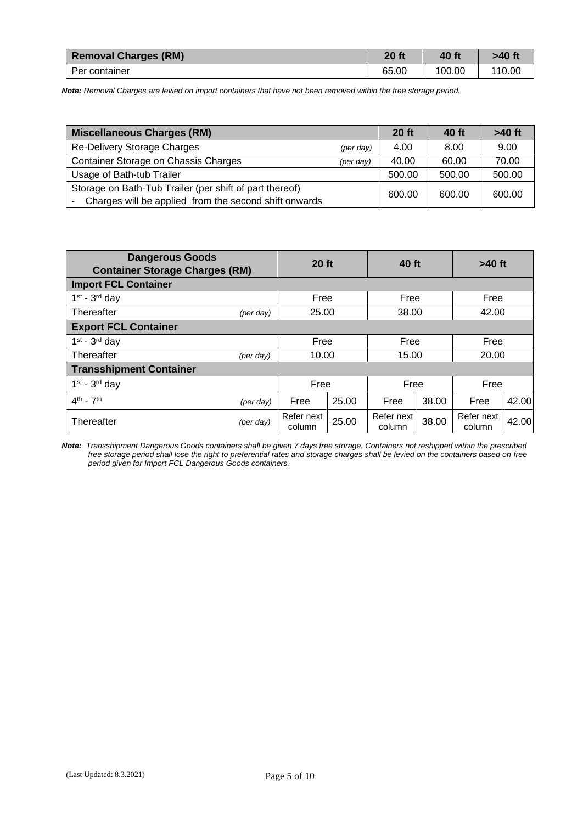| <b>Removal Charges (RM)</b> | <b>20 ft</b> | 40 ft  | >40 ft |
|-----------------------------|--------------|--------|--------|
| Per container               | 65.00        | 100.00 | 110.00 |

*Note: Removal Charges are levied on import containers that have not been removed within the free storage period.*

| Miscellaneous Charges (RM)                                                                                       |                    | $20$ ft | 40 ft  | $>40$ ft |
|------------------------------------------------------------------------------------------------------------------|--------------------|---------|--------|----------|
| Re-Delivery Storage Charges                                                                                      | $(\text{per day})$ | 4.00    | 8.00   | 9.00     |
| Container Storage on Chassis Charges                                                                             | (per day)          | 40.00   | 60.00  | 70.00    |
| Usage of Bath-tub Trailer                                                                                        |                    | 500.00  | 500.00 | 500.00   |
| Storage on Bath-Tub Trailer (per shift of part thereof)<br>Charges will be applied from the second shift onwards |                    | 600.00  | 600.00 | 600.00   |

| <b>Dangerous Goods</b><br>20 ft<br><b>Container Storage Charges (RM)</b> |                    | 40 ft                |                | $>40$ ft             |       |                      |       |  |
|--------------------------------------------------------------------------|--------------------|----------------------|----------------|----------------------|-------|----------------------|-------|--|
| <b>Import FCL Container</b>                                              |                    |                      |                |                      |       |                      |       |  |
| $1st - 3rd$ day                                                          |                    | Free                 |                | Free                 |       | Free                 |       |  |
| Thereafter                                                               | $(\text{per day})$ |                      | 25.00<br>38.00 |                      |       |                      | 42.00 |  |
| <b>Export FCL Container</b>                                              |                    |                      |                |                      |       |                      |       |  |
| $1st - 3rd$ day                                                          |                    | Free                 |                | Free                 |       | Free                 |       |  |
| Thereafter                                                               | $(\text{per day})$ | 10.00<br>15.00       |                |                      | 20.00 |                      |       |  |
| <b>Transshipment Container</b>                                           |                    |                      |                |                      |       |                      |       |  |
| $1st - 3rd$ day                                                          |                    | Free                 |                | Free                 |       | Free                 |       |  |
| $4th$ - $7th$                                                            | $(\text{per day})$ | Free                 | 25.00          | Free                 | 38.00 | Free                 | 42.00 |  |
| Thereafter                                                               | $(\text{per day})$ | Refer next<br>column | 25.00          | Refer next<br>column | 38.00 | Refer next<br>column | 42.00 |  |

*Note: Transshipment Dangerous Goods containers shall be given 7 days free storage. Containers not reshipped within the prescribed free storage period shall lose the right to preferential rates and storage charges shall be levied on the containers based on free period given for Import FCL Dangerous Goods containers.*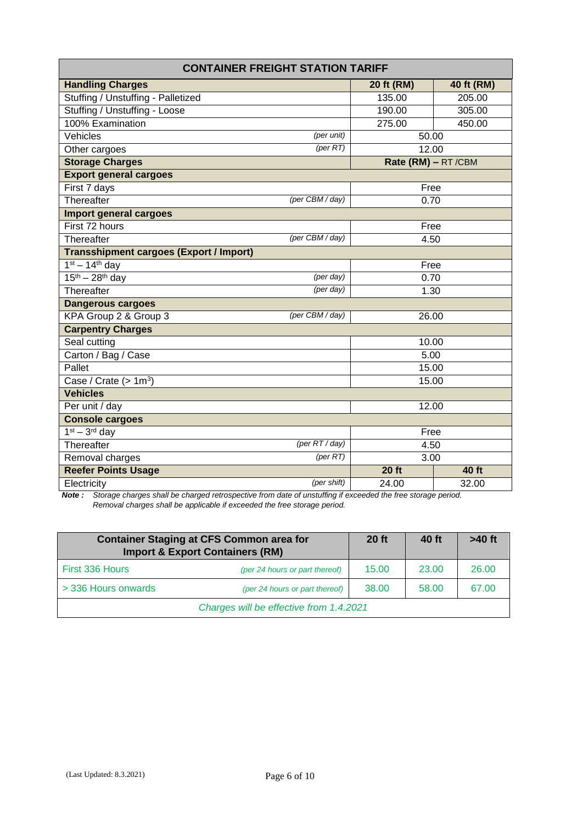| <b>CONTAINER FREIGHT STATION TARIFF</b>        |                    |            |  |  |  |  |  |
|------------------------------------------------|--------------------|------------|--|--|--|--|--|
| <b>Handling Charges</b>                        | 20 ft (RM)         | 40 ft (RM) |  |  |  |  |  |
| Stuffing / Unstuffing - Palletized             | 135.00             | 205.00     |  |  |  |  |  |
| Stuffing / Unstuffing - Loose                  | 190.00             | 305.00     |  |  |  |  |  |
| 100% Examination                               | 275.00             | 450.00     |  |  |  |  |  |
| Vehicles<br>(per unit)                         | 50.00              |            |  |  |  |  |  |
| $(\text{per RT})$<br>Other cargoes             | 12.00              |            |  |  |  |  |  |
| <b>Storage Charges</b>                         | Rate (RM) - RT/CBM |            |  |  |  |  |  |
| <b>Export general cargoes</b>                  |                    |            |  |  |  |  |  |
| First 7 days                                   | Free               |            |  |  |  |  |  |
| (per CBM / day)<br>Thereafter                  | 0.70               |            |  |  |  |  |  |
| Import general cargoes                         |                    |            |  |  |  |  |  |
| First 72 hours                                 | Free               |            |  |  |  |  |  |
| (per CBM / day)<br>Thereafter                  | 4.50               |            |  |  |  |  |  |
| <b>Transshipment cargoes (Export / Import)</b> |                    |            |  |  |  |  |  |
| $1st - 14th$ day                               | Free               |            |  |  |  |  |  |
| $15^{th} - 28^{th}$ day<br>(per day)           | 0.70               |            |  |  |  |  |  |
| (per day)<br>Thereafter                        | 1.30               |            |  |  |  |  |  |
| <b>Dangerous cargoes</b>                       |                    |            |  |  |  |  |  |
| KPA Group 2 & Group 3<br>(per CBM / day)       | 26.00              |            |  |  |  |  |  |
| <b>Carpentry Charges</b>                       |                    |            |  |  |  |  |  |
| Seal cutting                                   | 10.00              |            |  |  |  |  |  |
| Carton / Bag / Case                            | 5.00               |            |  |  |  |  |  |
| Pallet                                         | 15.00              |            |  |  |  |  |  |
| Case / Crate $($ > 1m <sup>3</sup> )           | 15.00              |            |  |  |  |  |  |
| <b>Vehicles</b>                                |                    |            |  |  |  |  |  |
| Per unit / day                                 | 12.00              |            |  |  |  |  |  |
| <b>Console cargoes</b>                         |                    |            |  |  |  |  |  |
| $1st - 3rd$ day                                | Free               |            |  |  |  |  |  |
| $(\text{per RT}/\text{day})$<br>Thereafter     | 4.50               |            |  |  |  |  |  |
| (per RT)<br>Removal charges                    | 3.00               |            |  |  |  |  |  |
| <b>Reefer Points Usage</b>                     | <b>20 ft</b>       | 40 ft      |  |  |  |  |  |
| (per shift)<br>Electricity                     | 24.00              | 32.00      |  |  |  |  |  |

*Note : Storage charges shall be charged retrospective from date of unstuffing if exceeded the free storage period. Removal charges shall be applicable if exceeded the free storage period.*

| <b>Container Staging at CFS Common area for</b><br><b>Import &amp; Export Containers (RM)</b> |                                | <b>20 ft</b> | 40 ft | $>40$ ft |
|-----------------------------------------------------------------------------------------------|--------------------------------|--------------|-------|----------|
| First 336 Hours                                                                               | (per 24 hours or part thereof) | 15.00        | 23.00 | 26.00    |
| > 336 Hours onwards                                                                           | (per 24 hours or part thereof) | 38.00        | 58.00 | 67.00    |
| Charges will be effective from 1.4.2021                                                       |                                |              |       |          |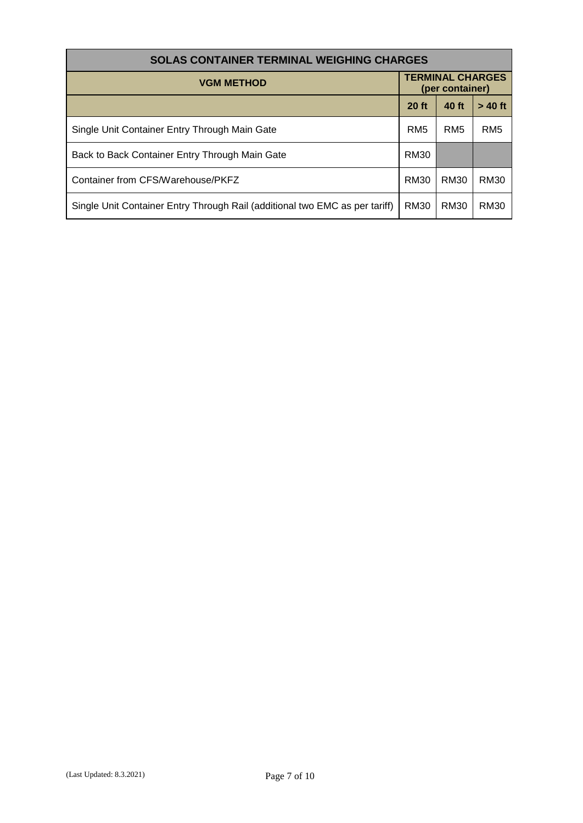| <b>SOLAS CONTAINER TERMINAL WEIGHING CHARGES</b>                            |                                            |                 |                 |  |  |  |
|-----------------------------------------------------------------------------|--------------------------------------------|-----------------|-----------------|--|--|--|
| <b>VGM METHOD</b>                                                           | <b>TERMINAL CHARGES</b><br>(per container) |                 |                 |  |  |  |
|                                                                             | $20$ ft                                    | 40 ft           | $> 40$ ft       |  |  |  |
| Single Unit Container Entry Through Main Gate                               | RM <sub>5</sub>                            | RM <sub>5</sub> | RM <sub>5</sub> |  |  |  |
| Back to Back Container Entry Through Main Gate                              | <b>RM30</b>                                |                 |                 |  |  |  |
| Container from CFS/Warehouse/PKFZ                                           | RM30                                       | RM30            | RM30            |  |  |  |
| Single Unit Container Entry Through Rail (additional two EMC as per tariff) | RM30                                       | RM30            | RM30            |  |  |  |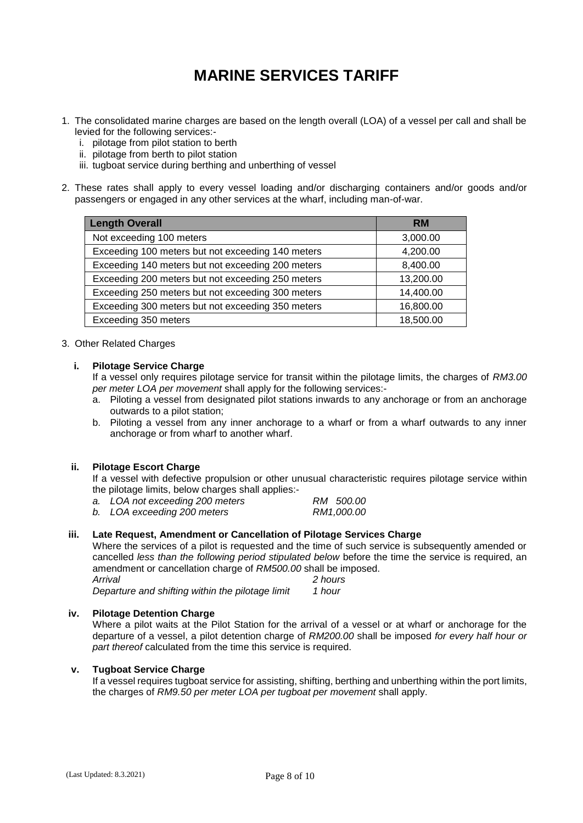## **MARINE SERVICES TARIFF**

- 1. The consolidated marine charges are based on the length overall (LOA) of a vessel per call and shall be levied for the following services:
	- i. pilotage from pilot station to berth
	- ii. pilotage from berth to pilot station
	- iii. tugboat service during berthing and unberthing of vessel
- 2. These rates shall apply to every vessel loading and/or discharging containers and/or goods and/or passengers or engaged in any other services at the wharf, including man-of-war.

| <b>Length Overall</b>                             | <b>RM</b> |
|---------------------------------------------------|-----------|
| Not exceeding 100 meters                          | 3,000.00  |
| Exceeding 100 meters but not exceeding 140 meters | 4,200.00  |
| Exceeding 140 meters but not exceeding 200 meters | 8,400.00  |
| Exceeding 200 meters but not exceeding 250 meters | 13,200.00 |
| Exceeding 250 meters but not exceeding 300 meters | 14,400.00 |
| Exceeding 300 meters but not exceeding 350 meters | 16,800.00 |
| Exceeding 350 meters                              | 18,500.00 |

#### 3. Other Related Charges

#### **i. Pilotage Service Charge**

If a vessel only requires pilotage service for transit within the pilotage limits, the charges of *RM3.00 per meter LOA per movement* shall apply for the following services:-

- a. Piloting a vessel from designated pilot stations inwards to any anchorage or from an anchorage outwards to a pilot station;
- b. Piloting a vessel from any inner anchorage to a wharf or from a wharf outwards to any inner anchorage or from wharf to another wharf.

#### **ii. Pilotage Escort Charge**

If a vessel with defective propulsion or other unusual characteristic requires pilotage service within the pilotage limits, below charges shall applies:-

| a. LOA not exceeding 200 meters | RM 500.00  |
|---------------------------------|------------|
| b. LOA exceeding 200 meters     | RM1,000.00 |

#### **iii. Late Request, Amendment or Cancellation of Pilotage Services Charge**

Where the services of a pilot is requested and the time of such service is subsequently amended or cancelled *less than the following period stipulated below* before the time the service is required, an amendment or cancellation charge of *RM500.00* shall be imposed.

*Arrival 2 hours Departure and shifting within the pilotage limit 1 hour*

#### **iv. Pilotage Detention Charge**

Where a pilot waits at the Pilot Station for the arrival of a vessel or at wharf or anchorage for the departure of a vessel, a pilot detention charge of *RM200.00* shall be imposed *for every half hour or part thereof* calculated from the time this service is required.

#### **v. Tugboat Service Charge**

If a vessel requires tugboat service for assisting, shifting, berthing and unberthing within the port limits, the charges of *RM9.50 per meter LOA per tugboat per movement* shall apply.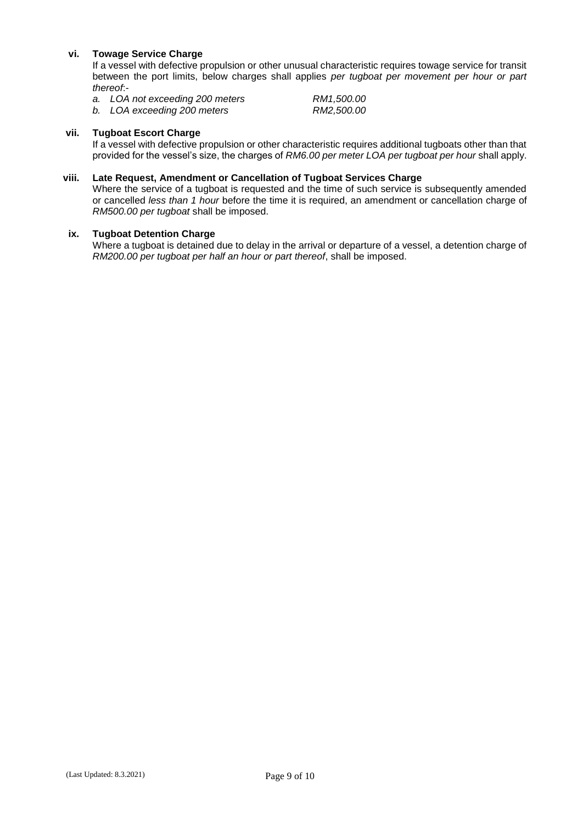#### **vi. Towage Service Charge**

If a vessel with defective propulsion or other unusual characteristic requires towage service for transit between the port limits, below charges shall applies *per tugboat per movement per hour or part thereof*:-

*a. LOA not exceeding 200 meters RM1,500.00*

*b. LOA exceeding 200 meters RM2,500.00*

#### **vii. Tugboat Escort Charge**

If a vessel with defective propulsion or other characteristic requires additional tugboats other than that provided for the vessel's size, the charges of *RM6.00 per meter LOA per tugboat per hour* shall apply.

#### **viii. Late Request, Amendment or Cancellation of Tugboat Services Charge**

Where the service of a tugboat is requested and the time of such service is subsequently amended or cancelled *less than 1 hour* before the time it is required, an amendment or cancellation charge of *RM500.00 per tugboat* shall be imposed.

#### **ix. Tugboat Detention Charge**

Where a tugboat is detained due to delay in the arrival or departure of a vessel, a detention charge of *RM200.00 per tugboat per half an hour or part thereof*, shall be imposed.